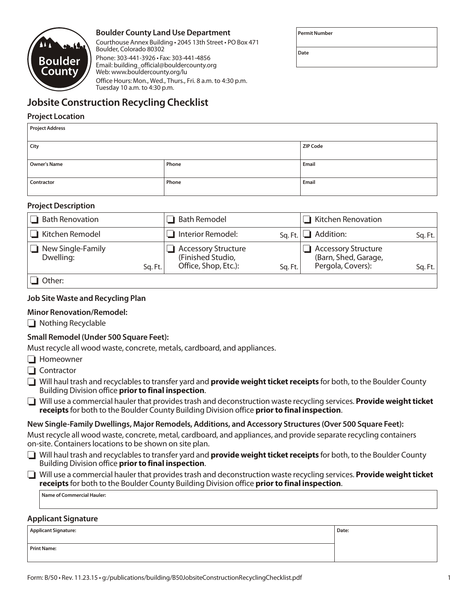

# **Boulder County Land Use Department**

Courthouse Annex Building • 2045 13th Street • PO Box 471 Boulder, Colorado 80302 Phone: 303-441-3926 • Fax: 303-441-4856 Email: building\_official@bouldercounty.org Web: www.bouldercounty.org/lu Office Hours: Mon., Wed., Thurs., Fri. 8 a.m. to 4:30 p.m.

**Permit Number**

**Date**

# **Jobsite Construction Recycling Checklist**

Tuesday 10 a.m. to 4:30 p.m.

## **Project Location**

| <b>Project Address</b> |                 |       |  |  |
|------------------------|-----------------|-------|--|--|
|                        |                 |       |  |  |
| City                   | <b>ZIP Code</b> |       |  |  |
|                        |                 |       |  |  |
| Owner's Name           | Phone           | Email |  |  |
|                        |                 |       |  |  |
| Contractor             | Phone           | Email |  |  |
|                        |                 |       |  |  |

### **Project Description**

| <b>Bath Renovation</b>                    | <b>Bath Remodel</b>                                                               | $\Box$ Kitchen Renovation                                                          |
|-------------------------------------------|-----------------------------------------------------------------------------------|------------------------------------------------------------------------------------|
| □ Kitchen Remodel                         | Interior Remodel:<br>$Sa$ . Ft.                                                   | $\Box$ Addition:<br>Sg. Ft.                                                        |
| New Single-Family<br>Dwelling:<br>Sq. Ft. | <b>Accessory Structure</b><br>(Finished Studio,<br>Office, Shop, Etc.):<br>Sq.Ft. | <b>Accessory Structure</b><br>(Barn, Shed, Garage,<br>Pergola, Covers):<br>Sg. Ft. |
| $\Box$ Other:                             |                                                                                   |                                                                                    |

## **Job Site Waste and Recycling Plan**

# **Minor Renovation/Remodel:**

 $\Box$  Nothing Recyclable

# **Small Remodel (Under 500 Square Feet):**

Must recycle all wood waste, concrete, metals, cardboard, and appliances.

- $\Box$  Homeowner
- $\Box$  Contractor
- □ Will haul trash and recyclables to transfer yard and **provide weight ticket receipts** for both, to the Boulder County Building Division office **prior to final inspection**.
- □ Will use a commercial hauler that provides trash and deconstruction waste recycling services. **Provide weight ticket receipts** for both to the Boulder County Building Division office **prior to final inspection**.

#### **New Single-Family Dwellings, Major Remodels, Additions, and Accessory Structures (Over 500 Square Feet):**

Must recycle all wood waste, concrete, metal, cardboard, and appliances, and provide separate recycling containers on-site. Containers locations to be shown on site plan.

**I** Will haul trash and recyclables to transfer yard and **provide weight ticket receipts** for both, to the Boulder County Building Division office **prior to final inspection**.

| Will use a commercial hauler that provides trash and deconstruction waste recycling services. Provide weight ticket |
|---------------------------------------------------------------------------------------------------------------------|
| receipts for both to the Boulder County Building Division office prior to final inspection.                         |

**Name of Commercial Hauler:**

#### **Applicant Signature**

| <b>Applicant Signature:</b> | Date: |
|-----------------------------|-------|
|                             |       |
| <b>Print Name:</b>          |       |
|                             |       |